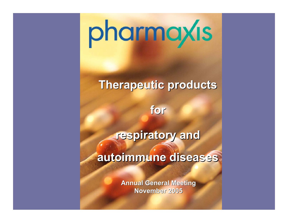# pharmaxis

#### **Therapeutic products Therapeutic products**

**for**

respiratory and

**autoimmune diseases autoimmune diseases**

**Annual General Meeting November 2005 November 2005**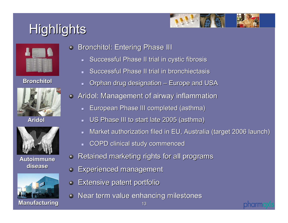### Highlights



|     | <b>STATISTICS</b><br><br>_                                                                                                                                                                                                                                                                                                                                                                                                                                                                                              | <b>Schoolwage</b> Company |   |
|-----|-------------------------------------------------------------------------------------------------------------------------------------------------------------------------------------------------------------------------------------------------------------------------------------------------------------------------------------------------------------------------------------------------------------------------------------------------------------------------------------------------------------------------|---------------------------|---|
|     | $\frac{1}{2} \left( \frac{1}{2} \right) \left( \frac{1}{2} \right) \left( \frac{1}{2} \right) \left( \frac{1}{2} \right) \left( \frac{1}{2} \right) \left( \frac{1}{2} \right) \left( \frac{1}{2} \right) \left( \frac{1}{2} \right) \left( \frac{1}{2} \right) \left( \frac{1}{2} \right) \left( \frac{1}{2} \right) \left( \frac{1}{2} \right) \left( \frac{1}{2} \right) \left( \frac{1}{2} \right) \left( \frac{1}{2} \right) \left( \frac{1}{2} \right) \left( \frac$<br><b><i><u>PACKAGE COMPANY</u></i></b><br>_ |                           |   |
| --- | <b>With Artists in Winnie</b><br><b>Arrangement</b><br><b>Brooklynd Avenue Advertising</b><br>Winnipeg Grande                                                                                                                                                                                                                                                                                                                                                                                                           |                           |   |
|     |                                                                                                                                                                                                                                                                                                                                                                                                                                                                                                                         |                           |   |
|     |                                                                                                                                                                                                                                                                                                                                                                                                                                                                                                                         |                           | - |
|     |                                                                                                                                                                                                                                                                                                                                                                                                                                                                                                                         |                           |   |
|     |                                                                                                                                                                                                                                                                                                                                                                                                                                                                                                                         |                           |   |
|     |                                                                                                                                                                                                                                                                                                                                                                                                                                                                                                                         |                           |   |
|     |                                                                                                                                                                                                                                                                                                                                                                                                                                                                                                                         |                           |   |

**Bronchitol Bronchitol**



**Aridol**



**Autoimmune Autoimmune disease disease**



Bronchitol: Entering Phase III

- $\blacksquare$ Successful Phase II trial in cystic fibrosis
- $\blacksquare$ Successful Phase II trial in bronchiectasis
- $\blacksquare$ Orphan drug designation – Europe and USA
- $\bullet$  Aridol: Management of airway inflammation
	- $\blacksquare$ European Phase III completed (asthma) European Phase III completed (asthma)
	- $\blacksquare$ US Phase III to start late 2005 (asthma)
	- $\blacksquare$ Market authorization filed in EU, Australia (target 2006 launch)
	- $\blacksquare$ COPD clinical study commenced COPD clinical study commenced
	- Retained marketing rights for all programs
- Experienced management Experienced management  $\bullet$
- **Extensive patent portfolio**  $\bullet$
- Near term value enhancing milestones



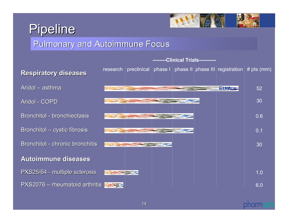### Pipeline



#### Pulmonary and Autoimmune Focus

Aridol – asthma Aridol - COPD Bronchitol - bronchiectasis Bronchitol – cystic fibrosis Bronchitol - chronic bronchitis **Autoimmune diseases Autoimmune diseases** PXS25/64 - multiple sclerosis PXS2076 – rheumatoid arthritis



#### pharm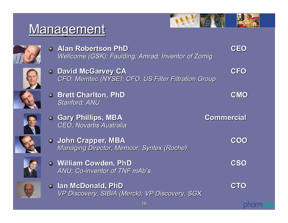### Management



**CEO**



**Alan Robertson PhD Alan Robertson PhD***Wellcome Wellcome (GSK); Faulding; (GSK); Faulding; Amrad; Inventor of ; Inventor of Zomig*



**David McGarvey CA David McGarvey CA CFO** *CFO, Memtec (NYSE); CFO, US Filter Filtration Group CFO, Memtec (NYSE); CFO, US Filter Filtration Group*



**Brett Charlton, PhD Brett Charlton, PhD CMO** *Stanford; ANU Stanford; ANU*



**Gary Phillips, MBA Gary Phillips, MBA Commercial Commercial** *CEO, Novartis Novartis Australia Australia*



**John Crapper, MBA John Crapper, MBA COO** *Managing Director, Managing Director, Memcor; Syntex (Roche) (Roche)*



**William Cowden, PhD William Cowden, PhD CSO** ANU; Co-inventor of TNF mAb's



**Ian McDonald, PhD Ian McDonald, PhD CTO** *VP Discovery, SIBIA (Merck); VP Discovery, SGX VP Discovery, SIBIA (Merck); VP Discovery, SGX*

**phorm**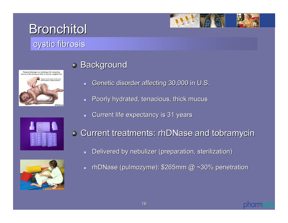

#### cystic fibrosis



#### **Background**

- $\blacksquare$ Genetic disorder affecting 30,000 in U.S.
- $\blacksquare$ Poorly hydrated, tenacious, thick mucus
- $\blacksquare$ Current life expectancy is 31 years





- Current treatments: rhDNase and tobramycin
	- $\blacksquare$ Delivered by nebulizer (preparation, sterilization)
	- $\blacksquare$ - rhDNase (pulmozyme): \$265mm @ ~30% penetration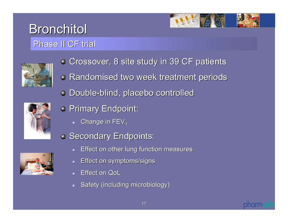#### **Bronchitol** Phase II CF trial





- **Crossover, 8 site study in 39 CF patients**
- **Randomised two week treatment periods**
- Double-blind, placebo controlled blind, placebo controlled



- **Primary Endpoint:** 
	- $\blacksquare$  Change in FEV $_1$
- **Secondary Endpoints:** 
	- ┓ Effect on other lung function measures
	- ┙ Effect on symptoms/signs Effect on symptoms/signs
	- ┙ Effect on QoL
	- Safety (including microbiology)



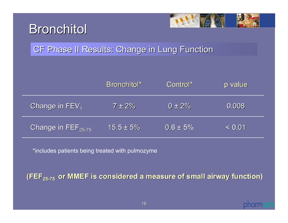



#### CF Phase II Results: Change in Lung Function

|                                         | Bronchitol*    | Control*      | p value |
|-----------------------------------------|----------------|---------------|---------|
| Change in FEV1                          | $7 \pm 2\%$    | $0 \pm 2\%$   | 0.008   |
| Change in $\mathsf{FEF}_{25\text{-}75}$ | $15.5 \pm 5\%$ | $0.6 \pm 5\%$ | < 0.01  |

\*includes patients being treated with pulmozyme

**(FEF<sub>25-75</sub> or MMEF is considered a measure of small airway function)**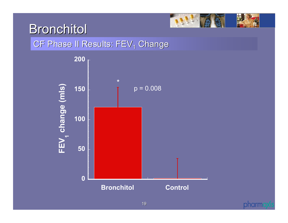

#### CF Phase II Results: FEV $_{\rm 1}$  Change



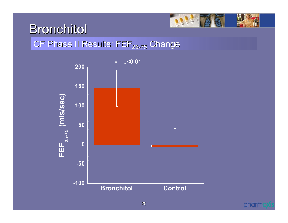

#### CF Phase II Results: FEF $_{\rm 25\text{-}75}$  Change



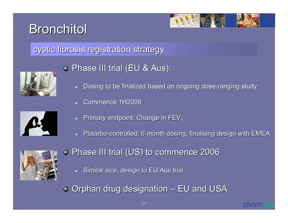

#### cystic fibrosis registration strategy cystic fibrosis registration strategy



#### **• Phase III trial (EU & Aus):**

- $\blacksquare$ Dosing to be finalized based on ongoing dose-ranging study
- ┙ Commence 1H2006



- ┓ Primary endpoint: Change in FEV<sub>1</sub>
- ┙ Placebo-controlled, 6 month dosing, finalising design with EMEA



- **Phase III trial (US) to commence 2006** 
	- $\blacksquare$ Similar size, design to EU/Aus trial

 $\bullet$  Orphan drug designation – EU and USA

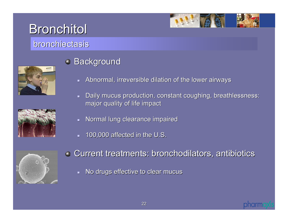

#### bronchiectasis





#### **Background**

- $\blacksquare$ Abnormal, irreversible dilation of the lower airways
- $\blacksquare$ Daily mucus production, constant coughing, breathlessness: major quality of life impact
- $\blacksquare$ Normal lung clearance impaired
- $\blacksquare$ 100,000 affected in the U.S.



- Current treatments: bronchodilators, antibiotics Current treatments: bronchodilators, antibiotics
	- $\blacksquare$ No drugs effective to clear mucus

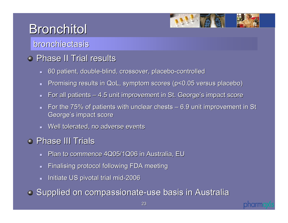

#### bronchiectasis

#### Phase II Trial results

- $\blacksquare$ 60 patient, double-blind, crossover, placebo-controlled
- $\blacksquare$ Promising results in QoL, symptom scores (p<0.05 versus placebo)
- $\blacksquare$ For all patients  $-4.5$  unit improvement in St. George's impact score
- $\blacksquare$ For the  $75\%$  of patients with unclear chests – 6.9 unit improvement in St George's impact score
- **Nell tolerated, no adverse events Well tolerated**, no adverse events

#### Phase III Trials

- $\blacksquare$ Plan to commence 4Q05/1Q06 in Australia, EU
- $\blacksquare$ Finalising protocol following FDA meeting
- $\blacksquare$ Initiate US pivotal trial mid-2006

**• Supplied on compassionate-use basis in Australia** 

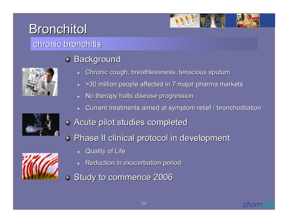#### chronic bronchitis chronic bronchitis





- $\blacksquare$ Chronic cough, breathlessness, tenacious sputum
- $\blacksquare$ >30 million people affected in 7 major pharma markets
- $\blacksquare$ No therapy halts disease progression
- $\blacksquare$ Current treatments aimed at symptom relief / bronchodilation



- **Phase II clinical protocol in development** 
	- $\blacksquare$ Quality of Life
	- ┙ Reduction in exacerbation period Reduction in exacerbation period
- Study to commence 2006



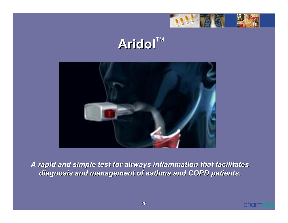

### **Aridol**TM



*A rapid and simple test for airways inflammation that facilitate A rapid and simple test for airways inflammation that facilitates diagnosis and management of diagnosis and management of asthma and COPD patients. asthma and COPD patients.*

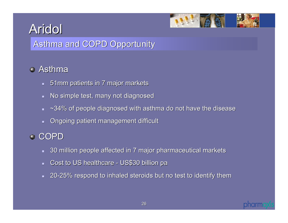

#### Asthma and COPD Opportunity

#### Asthma

- $\,$   $\,$  51mm patients in 7 major markets
- $\blacksquare$ No simple test, many not diagnosed
- $\blacksquare$  $\sim$ 34% of people diagnosed with asthma do not have the disease
- $\blacksquare$ Ongoing patient management difficult

#### COPD

- $\blacksquare$ 30 million people affected in 7 major pharmaceutical markets 30 million people affected in 7 major pharmaceutical markets
- $\blacksquare$ Cost to US healthcare - US\$30 billion pa
- $\blacksquare$ 20-25% respond to inhaled steroids but no test to identify them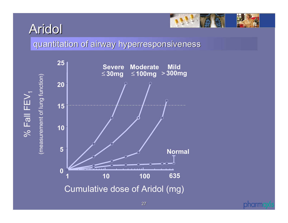$\%$  Fall FEV  $\frac{6}{10}$  Fall FEV<sub>1</sub>



quantitation of airway hyperresponsiveness





27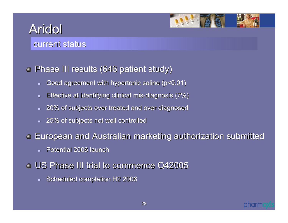

#### current status

#### **• Phase III results (646 patient study)**

- $\blacksquare$ Good agreement with hypertonic saline (p<0.01) Good agreement with hypertonic saline (p<0.01)
- $\blacksquare$ Effective at identifying clinical mis-diagnosis (7%)
- 20% of subjects over treated and over diagnosed 20% of subjects over treated and over diagnosed
- $-$  25% of subjects not well controlled

**European and Australian marketing authorization submitted European and Australian marketing authorization submitted** 

- **Potential 2006 launch** Potential 2006 launch
- US Phase III trial to commence Q42005 US Phase III trial to commence Q42005
	- $\blacksquare$ Scheduled completion H2 2006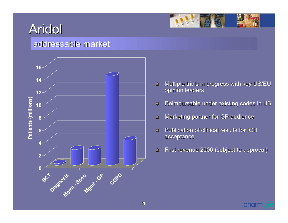

#### addressable market



- Multiple trials in progress with key US/EU  $\bullet$ opinion leaders
- Reimbursable under existing codes in US  $\bullet$
- Marketing partner for GP audience  $\ddot{\mathbf{Q}}$
- Ō. Publication of clinical results for ICH acceptance
- First revenue 2006 (subject to approval)  $\ddot{\mathbf{Q}}$

pharm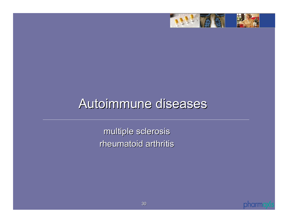

### Autoimmune diseases

multiple sclerosis multiple sclerosis rheumatoid arthritis

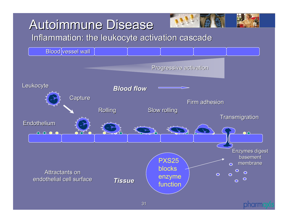### **Autoimmune Disease**

Inflammation: the leukocyte activation cascade



pharm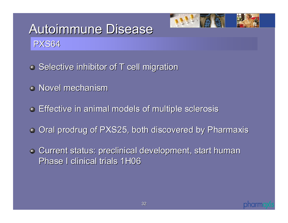

### Autoimmune Disease PXS64

- $\bullet$  Selective inhibitor of T cell migration
- Novel mechanism
- Effective in animal models of multiple sclerosis Effective in animal models of multiple sclerosis
- Oral prodrug of PXS25, both discovered by Pharmaxis
- **Current status: preclinical development, start human** Phase I clinical trials 1H06

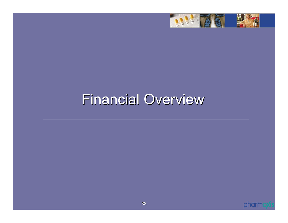

### Financial Overview

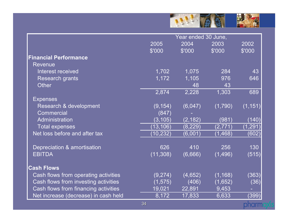

|                                      | Year ended 30 June, |          |          |          |
|--------------------------------------|---------------------|----------|----------|----------|
|                                      | 2005                | 2004     | 2003     | 2002     |
|                                      | \$'000              | \$'000   | \$'000   | \$'000   |
| <b>Financial Performance</b>         |                     |          |          |          |
| <b>Revenue</b>                       |                     |          |          |          |
| Interest received                    | 1,702               | 1,075    | 284      | 43       |
| <b>Research grants</b>               | 1,172               | 1,105    | 976      | 646      |
| <b>Other</b>                         |                     | 48       | 43       |          |
|                                      | 2,874               | 2,228    | 1,303    | 689      |
| <b>Expenses</b>                      |                     |          |          |          |
| Research & development               | (9, 154)            | (6,047)  | (1,790)  | (1, 151) |
| Commercial                           | (847)               |          |          |          |
| Administration                       | (3, 105)            | (2, 182) | (981)    | (140)    |
| <b>Total expenses</b>                | (13, 106)           | (8, 229) | (2,771)  | (1, 291) |
| Net loss before and after tax        | (10, 232)           | (6,001)  | (1, 468) | (602)    |
|                                      |                     |          |          |          |
| Depreciation & amortisation          | 626                 | 410      | 256      | 130      |
| <b>EBITDA</b>                        | (11, 308)           | (6,666)  | (1,496)  | (515)    |
|                                      |                     |          |          |          |
| <b>Cash Flows</b>                    |                     |          |          |          |
| Cash flows from operating activities | (9,274)             | (4,652)  | (1, 168) | (363)    |
| Cash flows from investing activities | (1, 575)            | (406)    | (1,652)  | (36)     |
| Cash flows from financing activities | 19,021              | 22,891   | 9,453    |          |
| Net increase (decrease) in cash held | 8,172               | 17,833   | 6,633    | (399)    |
|                                      | 34                  |          |          | pharm    |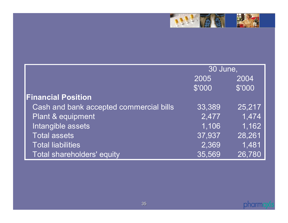

|                                         | 30 June, |        |
|-----------------------------------------|----------|--------|
|                                         | 2005     | 2004   |
|                                         | \$'000   | \$'000 |
| <b>Financial Position</b>               |          |        |
| Cash and bank accepted commercial bills | 33,389   | 25,217 |
| Plant & equipment                       | 2,477    | 1,474  |
| Intangible assets                       | 1,106    | 1,162  |
| <b>Total assets</b>                     | 37,937   | 28,261 |
| <b>Total liabilities</b>                | 2,369    | 1,481  |
| Total shareholders' equity              | 35,569   | 26,780 |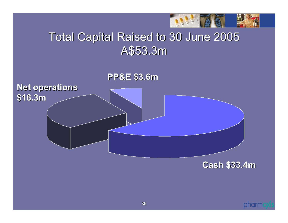

### **Total Capital Raised to 30 June 2005** A\$53.3m





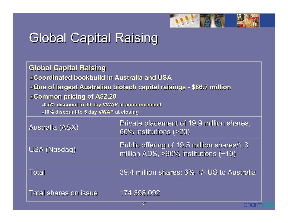

### **Global Capital Raising**

| <b>Global Capital Raising</b><br><b>Coordinated bookbuild in Australia and USA</b><br><b>One of largest Australian biotech capital raisings - \$86.7 million</b><br>Common pricing of A\$2.20<br>-0.5% discount to 30 day VWAP at announcement<br>-10% discount to 5 day VWAP at closing |                                                                                              |  |
|------------------------------------------------------------------------------------------------------------------------------------------------------------------------------------------------------------------------------------------------------------------------------------------|----------------------------------------------------------------------------------------------|--|
| <b>Australia (ASX)</b>                                                                                                                                                                                                                                                                   | Private placement of 19.9 million shares,<br>60% institutions (>20)                          |  |
| <b>USA (Nasdaq)</b>                                                                                                                                                                                                                                                                      | Public offering of 19.5 million shares/1.3<br>million ADS, $>90\%$ institutions ( $\sim$ 10) |  |
| <b>Total</b>                                                                                                                                                                                                                                                                             | 39.4 million shares; 6% +/- US to Australia                                                  |  |
| <b>Total shares on issue</b>                                                                                                                                                                                                                                                             | 174,398,092                                                                                  |  |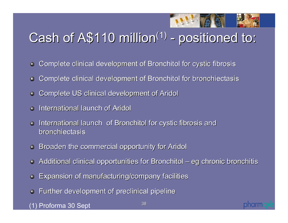

oharm

### Cash of  $A$110$  million<sup>(1)</sup> - positioned to:

- Complete clinical development of Bronchitol for cystic fibrosis  $\bullet$
- Complete clinical development of Bronchitol for bronchiectasis  $\bullet$
- Complete US clinical development of Aridol Complete US clinical development of Aridol
- International launch of Aridol
- International launch of Bronchitol for cystic fibrosis and  $\bullet$ bronchiectasis
- **Broaden the commercial opportunity for Aridol Broaden the commercial opportunity for Aridol**
- **Additional clinical opportunities for Bronchitol eg chronic bronchitis**
- Expansion of manufacturing/company facilities Expansion of manufacturing/company facilities  $\bullet$
- Further development of preclinical pipeline

(1) Proforma 30 Sept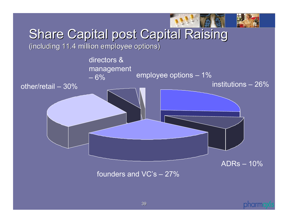

### Share Capital post Capital Raising

(including 11.4 million employee options) (including 11.4 million employee options)



founders and VC's – 27%

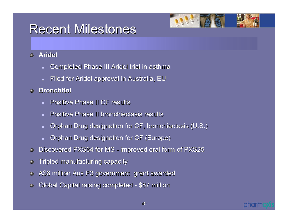### **Recent Milestones**



#### $\Delta$ **Aridol**

- $\blacksquare$ Completed Phase III Aridol trial in asthma
- $\blacksquare$ Filed for Aridol approval in Australia, EU
- **Bronchitol Bronchitol** $\bullet$ 
	- $\blacksquare$ **Positive Phase II CF results**
	- $\blacksquare$ Positive Phase II bronchiectasis results
	- $\blacksquare$ Orphan Drug designation for CF, bronchiectasis (U.S.)
	- $\blacksquare$ Orphan Drug designation for CF (Europe)
- Discovered PXS64 for MS improved oral form of PXS25  $\bullet$
- Tripled manufacturing capacity  $\bullet$
- A\$6 million Aus P3 government grant awarded  $\bullet$
- Global Capital raising completed \$87 million  $\bullet$